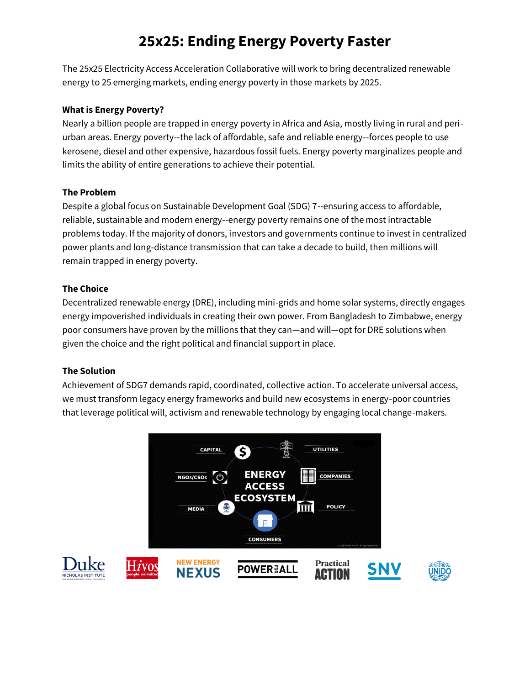# **25x25: Ending Energy Poverty Faster**

The 25x25 Electricity Access Acceleration Collaborative will work to bring decentralized renewable energy to 25 emerging markets, ending energy poverty in those markets by 2025.

## **What is Energy Poverty?**

Nearly a billion people are trapped in energy poverty in Africa and Asia, mostly living in rural and periurban areas. Energy poverty--the lack of affordable, safe and reliable energy--forces people to use kerosene, diesel and other expensive, hazardous fossil fuels. Energy poverty marginalizes people and limits the ability of entire generations to achieve their potential.

### **The Problem**

Despite a global focus on Sustainable Development Goal (SDG) 7--ensuring access to affordable, reliable, sustainable and modern energy--energy poverty remains one of the most intractable problems today. If the majority of donors, investors and governments continue to invest in centralized power plants and long-distance transmission that can take a decade to build, then millions will remain trapped in energy poverty.

### **The Choice**

Decentralized renewable energy (DRE), including mini-grids and home solar systems, directly engages energy impoverished individuals in creating their own power. From Bangladesh to Zimbabwe, energy poor consumers have proven by the millions that they can—and will—opt for DRE solutions when given the choice and the right political and financial support in place.

#### **The Solution**

Achievement of SDG7 demands rapid, coordinated, collective action. To accelerate universal access, we must transform legacy energy frameworks and build new ecosystems in energy-poor countries that leverage political will, activism and renewable technology by engaging local change-makers.